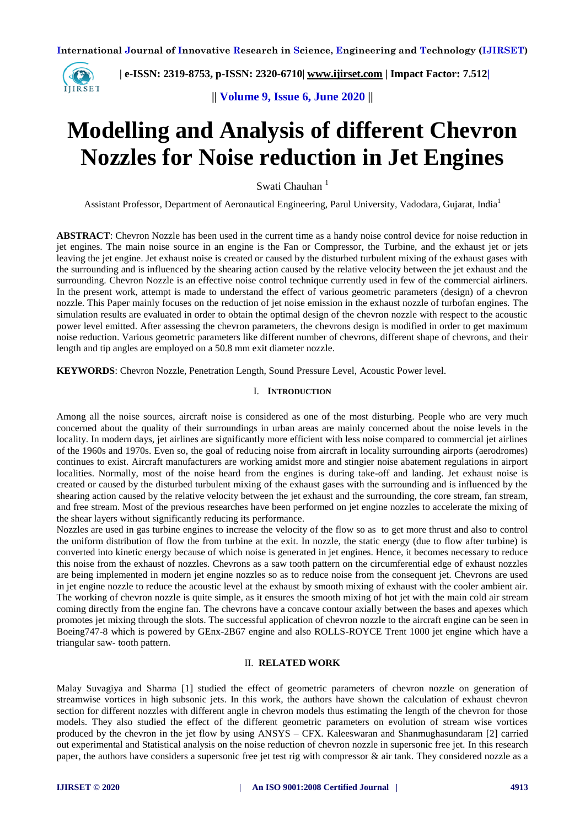

 **| e-ISSN: 2319-8753, p-ISSN: 2320-6710| [www.ijirset.com](http://www.ijirset.com/) | Impact Factor: 7.512|**

**|| Volume 9, Issue 6, June 2020 ||** 

# **Modelling and Analysis of different Chevron Nozzles for Noise reduction in Jet Engines**

Swati Chauhan<sup>1</sup>

Assistant Professor, Department of Aeronautical Engineering, Parul University, Vadodara, Gujarat, India<sup>1</sup>

**ABSTRACT**: Chevron Nozzle has been used in the current time as a handy noise control device for noise reduction in jet engines. The main noise source in an engine is the Fan or Compressor, the Turbine, and the exhaust jet or jets leaving the jet engine. Jet exhaust noise is created or caused by the disturbed turbulent mixing of the exhaust gases with the surrounding and is influenced by the shearing action caused by the relative velocity between the jet exhaust and the surrounding. Chevron Nozzle is an effective noise control technique currently used in few of the commercial airliners. In the present work, attempt is made to understand the effect of various geometric parameters (design) of a chevron nozzle. This Paper mainly focuses on the reduction of jet noise emission in the exhaust nozzle of turbofan engines. The simulation results are evaluated in order to obtain the optimal design of the chevron nozzle with respect to the acoustic power level emitted. After assessing the chevron parameters, the chevrons design is modified in order to get maximum noise reduction. Various geometric parameters like different number of chevrons, different shape of chevrons, and their length and tip angles are employed on a 50.8 mm exit diameter nozzle.

**KEYWORDS**: Chevron Nozzle, Penetration Length, Sound Pressure Level, Acoustic Power level.

## I. **INTRODUCTION**

Among all the noise sources, aircraft noise is considered as one of the most disturbing. People who are very much concerned about the quality of their surroundings in urban areas are mainly concerned about the noise levels in the locality. In modern days, jet airlines are significantly more efficient with less noise compared to commercial jet airlines of the 1960s and 1970s. Even so, the goal of reducing noise from aircraft in locality surrounding airports (aerodromes) continues to exist. Aircraft manufacturers are working amidst more and stingier noise abatement regulations in airport localities. Normally, most of the noise heard from the engines is during take-off and landing. Jet exhaust noise is created or caused by the disturbed turbulent mixing of the exhaust gases with the surrounding and is influenced by the shearing action caused by the relative velocity between the jet exhaust and the surrounding, the core stream, fan stream, and free stream. Most of the previous researches have been performed on jet engine nozzles to accelerate the mixing of the shear layers without significantly reducing its performance.

Nozzles are used in gas turbine engines to increase the velocity of the flow so as to get more thrust and also to control the uniform distribution of flow the from turbine at the exit. In nozzle, the static energy (due to flow after turbine) is converted into kinetic energy because of which noise is generated in jet engines. Hence, it becomes necessary to reduce this noise from the exhaust of nozzles. Chevrons as a saw tooth pattern on the circumferential edge of exhaust nozzles are being implemented in modern jet engine nozzles so as to reduce noise from the consequent jet. Chevrons are used in jet engine nozzle to reduce the acoustic level at the exhaust by smooth mixing of exhaust with the cooler ambient air. The working of chevron nozzle is quite simple, as it ensures the smooth mixing of hot jet with the main cold air stream coming directly from the engine fan. The chevrons have a concave contour axially between the bases and apexes which promotes jet mixing through the slots. The successful application of chevron nozzle to the aircraft engine can be seen in Boeing747-8 which is powered by GEnx-2B67 engine and also ROLLS-ROYCE Trent 1000 jet engine which have a triangular saw- tooth pattern.

## II. **RELATED WORK**

Malay Suvagiya and Sharma [1] studied the [effect of geometric parameters of chevron nozzle on generation of](file:///F:/HAL/ch/parth%201.pdf)  [streamwise vortices in high subsonic jets.](file:///F:/HAL/ch/parth%201.pdf) In this work, the authors have shown the calculation of exhaust chevron section for different nozzles with different angle in chevron models thus estimating the length of the chevron for those models. They also studied the effect of the different geometric parameters on evolution of stream wise vortices produced by the chevron in the jet flow by using ANSYS – CFX. Kaleeswaran and Shanmughasundaram [2] carried out experimental and Statistical analysis on the noise reduction of chevron nozzle in supersonic free jet. In this research paper, the authors have considers a supersonic free jet test rig with compressor & air tank. They considered nozzle as a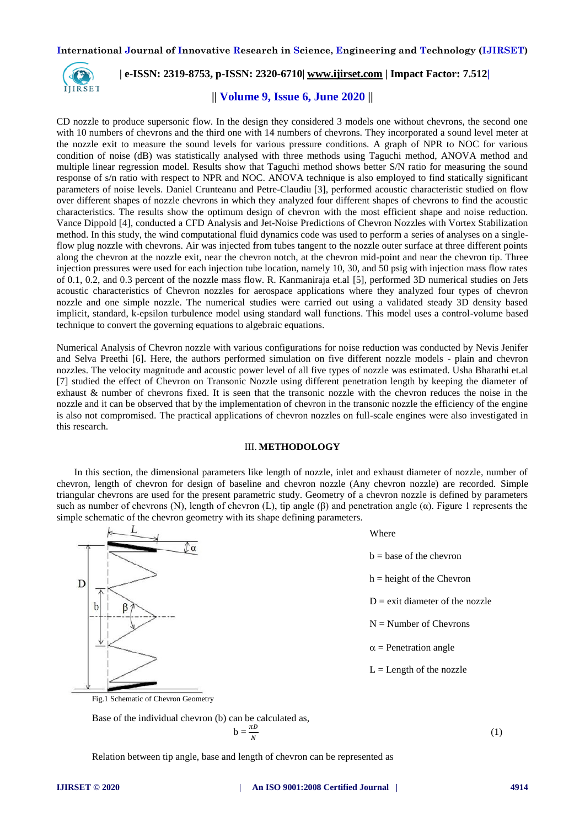

# **| e-ISSN: 2319-8753, p-ISSN: 2320-6710| [www.ijirset.com](http://www.ijirset.com/) | Impact Factor: 7.512|**

# **|| Volume 9, Issue 6, June 2020 ||**

CD nozzle to produce supersonic flow. In the design they considered 3 models one without chevrons, the second one with 10 numbers of chevrons and the third one with 14 numbers of chevrons. They incorporated a sound level meter at the nozzle exit to measure the sound levels for various pressure conditions. A graph of NPR to NOC for various condition of noise (dB) was statistically analysed with three methods using Taguchi method, ANOVA method and multiple linear regression model. Results show that Taguchi method shows better S/N ratio for measuring the sound response of s/n ratio with respect to NPR and NOC. ANOVA technique is also employed to find statically significant parameters of noise levels. Daniel Crunteanu and Petre-Claudiu [3], performed acoustic characteristic studied on flow over different shapes of nozzle chevrons in which they analyzed four different shapes of chevrons to find the acoustic characteristics. The results show the optimum design of chevron with the most efficient shape and noise reduction. Vance Dippold [4]*,* conducted a CFD Analysis and Jet-Noise Predictions of Chevron Nozzles with Vortex Stabilization method. In this study, the wind computational fluid dynamics code was used to perform a series of analyses on a singleflow plug nozzle with chevrons. Air was injected from tubes tangent to the nozzle outer surface at three different points along the chevron at the nozzle exit, near the chevron notch, at the chevron mid-point and near the chevron tip. Three injection pressures were used for each injection tube location, namely 10, 30, and 50 psig with injection mass flow rates of 0.1, 0.2, and 0.3 percent of the nozzle mass flow. R. Kanmaniraja et.al [5], performed 3D numerical studies on Jets acoustic characteristics of Chevron nozzles for aerospace applications where they analyzed four types of chevron nozzle and one simple nozzle. The numerical studies were carried out using a validated steady 3D density based implicit, standard, k-epsilon turbulence model using standard wall functions. This model uses a control-volume based technique to convert the governing equations to algebraic equations.

Numerical Analysis of Chevron nozzle with various configurations for noise reduction was conducted by Nevis Jenifer and Selva Preethi [6]. Here, the authors performed simulation on five different nozzle models - plain and chevron nozzles. The velocity magnitude and acoustic power level of all five types of nozzle was estimated. Usha Bharathi et.al [7] studied the effect of Chevron on Transonic Nozzle using different penetration length by keeping the diameter of exhaust & number of chevrons fixed. It is seen that the transonic nozzle with the chevron reduces the noise in the nozzle and it can be observed that by the implementation of chevron in the transonic nozzle the efficiency of the engine is also not compromised. The practical applications of chevron nozzles on full-scale engines were also investigated in this research.

## III. **METHODOLOGY**

In this section, the dimensional parameters like length of nozzle, inlet and exhaust diameter of nozzle, number of chevron, length of chevron for design of baseline and chevron nozzle (Any chevron nozzle) are recorded. Simple triangular chevrons are used for the present parametric study. Geometry of a chevron nozzle is defined by parameters such as number of chevrons (N), length of chevron (L), tip angle  $(\beta)$  and penetration angle ( $\alpha$ ). Figure 1 represents the simple schematic of the chevron geometry with its shape defining parameters.

| $\mathbf{r}$ | л. | ັບ 1 |                                   |
|--------------|----|------|-----------------------------------|
|              |    |      | Where                             |
|              |    |      | $b = base of the chevron$         |
| D            |    |      | $h = height of the Chevron$       |
| b            |    |      | $D =$ exit diameter of the nozzle |
|              |    |      | $N =$ Number of Chevrons          |
|              |    |      | $\alpha$ = Penetration angle      |
|              |    |      | $L =$ Length of the nozzle        |
|              |    |      |                                   |

Fig.1 Schematic of Chevron Geometry

Base of the individual chevron (b) can be calculated as,

$$
b = \frac{\pi D}{N}
$$

(1)

Relation between tip angle, base and length of chevron can be represented as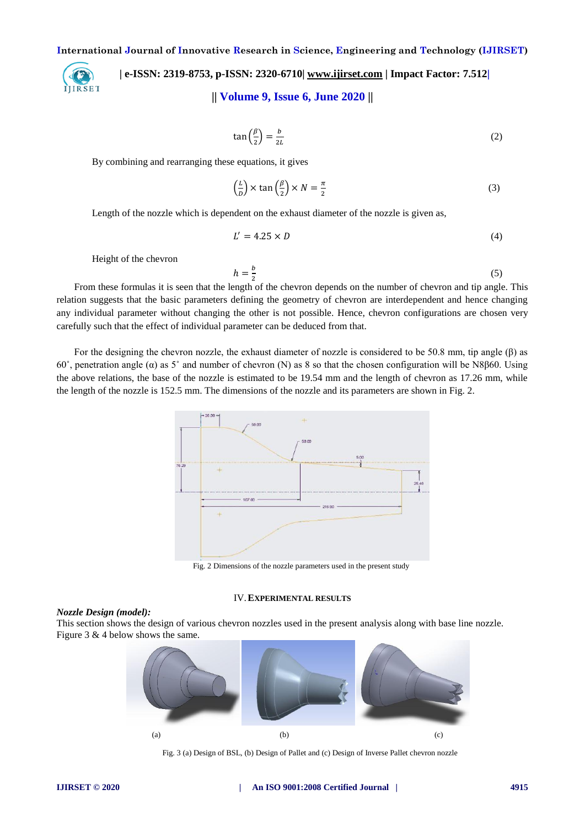

 **| e-ISSN: 2319-8753, p-ISSN: 2320-6710| [www.ijirset.com](http://www.ijirset.com/) | Impact Factor: 7.512|**

# **|| Volume 9, Issue 6, June 2020 ||**

$$
\tan\left(\frac{\beta}{2}\right) = \frac{b}{2L} \tag{2}
$$

By combining and rearranging these equations, it gives

$$
\left(\frac{L}{D}\right) \times \tan\left(\frac{\beta}{2}\right) \times N = \frac{\pi}{2}
$$
\n(3)

Length of the nozzle which is dependent on the exhaust diameter of the nozzle is given as,

$$
L' = 4.25 \times D \tag{4}
$$

Height of the chevron

 $h=\frac{b}{a}$  $\overline{\mathbf{c}}$ (5)

From these formulas it is seen that the length of the chevron depends on the number of chevron and tip angle. This relation suggests that the basic parameters defining the geometry of chevron are interdependent and hence changing any individual parameter without changing the other is not possible. Hence, chevron configurations are chosen very carefully such that the effect of individual parameter can be deduced from that.

For the designing the chevron nozzle, the exhaust diameter of nozzle is considered to be 50.8 mm, tip angle (β) as 60˚, penetration angle (α) as 5˚ and number of chevron (N) as 8 so that the chosen configuration will be N8β60. Using the above relations, the base of the nozzle is estimated to be 19.54 mm and the length of chevron as 17.26 mm, while the length of the nozzle is 152.5 mm. The dimensions of the nozzle and its parameters are shown in Fig. 2.



Fig. 2 Dimensions of the nozzle parameters used in the present study

#### IV.**EXPERIMENTAL RESULTS**

#### *Nozzle Design (model):*

This section shows the design of various chevron nozzles used in the present analysis along with base line nozzle. Figure 3 & 4 below shows the same.



Fig. 3 (a) Design of BSL, (b) Design of Pallet and (c) Design of Inverse Pallet chevron nozzle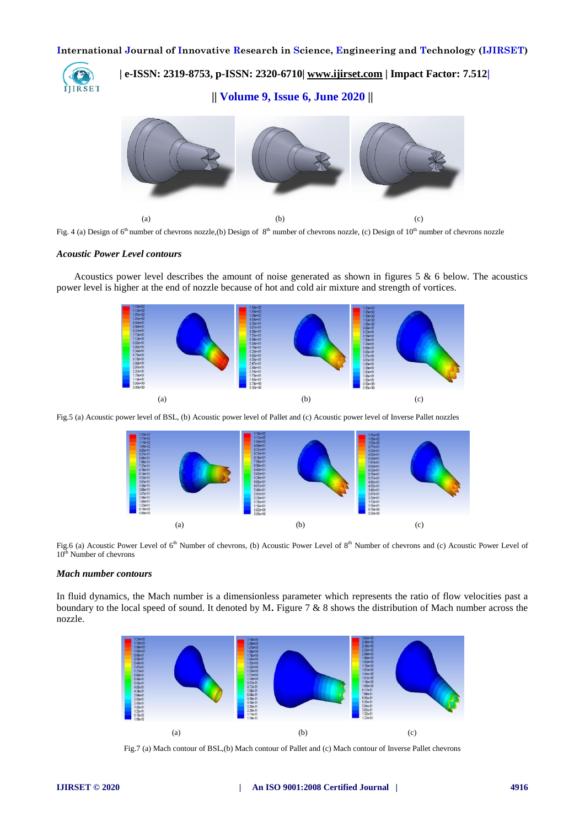

 **| e-ISSN: 2319-8753, p-ISSN: 2320-6710| [www.ijirset.com](http://www.ijirset.com/) | Impact Factor: 7.512|**

**|| Volume 9, Issue 6, June 2020 ||** 



Fig. 4 (a) Design of  $6<sup>th</sup>$  number of chevrons nozzle, (b) Design of  $8<sup>th</sup>$  number of chevrons nozzle, (c) Design of  $10<sup>th</sup>$  number of chevrons nozzle

#### *Acoustic Power Level contours*

Acoustics power level describes the amount of noise generated as shown in figures 5 & 6 below. The acoustics power level is higher at the end of nozzle because of hot and cold air mixture and strength of vortices.



Fig.5 (a) Acoustic power level of BSL, (b) Acoustic power level of Pallet and (c) Acoustic power level of Inverse Pallet nozzles



Fig.6 (a) Acoustic Power Level of  $6<sup>th</sup>$  Number of chevrons, (b) Acoustic Power Level of  $8<sup>th</sup>$  Number of chevrons and (c) Acoustic Power Level of 10<sup>th</sup> Number of chevrons

### *Mach number contours*

In fluid dynamics, the Mach number is a dimensionless parameter which represents the ratio of flow velocities past a boundary to the local speed of sound. It denoted by M**.** Figure 7 & 8 shows the distribution of Mach number across the nozzle.



Fig.7 (a) Mach contour of BSL,(b) Mach contour of Pallet and (c) Mach contour of Inverse Pallet chevrons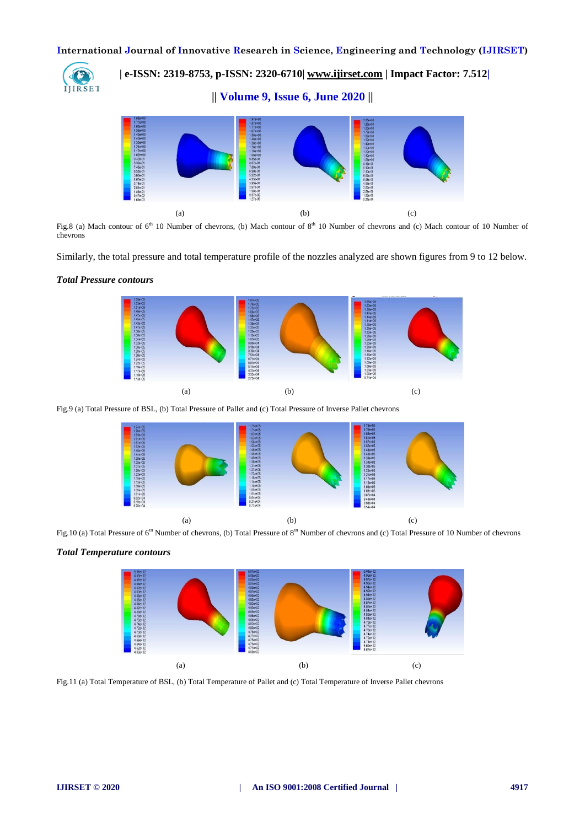IJIRSET

 **| e-ISSN: 2319-8753, p-ISSN: 2320-6710| [www.ijirset.com](http://www.ijirset.com/) | Impact Factor: 7.512|**

**|| Volume 9, Issue 6, June 2020 ||** 



Fig.8 (a) Mach contour of  $6<sup>th</sup> 10$  Number of chevrons, (b) Mach contour of  $8<sup>th</sup> 10$  Number of chevrons and (c) Mach contour of 10 Number of chevrons

Similarly, the total pressure and total temperature profile of the nozzles analyzed are shown figures from 9 to 12 below.

# *Total Pressure contours*



Fig.9 (a) Total Pressure of BSL, (b) Total Pressure of Pallet and (c) Total Pressure of Inverse Pallet chevrons



Fig.10 (a) Total Pressure of 6<sup>th</sup> Number of chevrons, (b) Total Pressure of 8<sup>th</sup> Number of chevrons and (c) Total Pressure of 10 Number of chevrons

## *Total Temperature contours*



Fig.11 (a) Total Temperature of BSL, (b) Total Temperature of Pallet and (c) Total Temperature of Inverse Pallet chevrons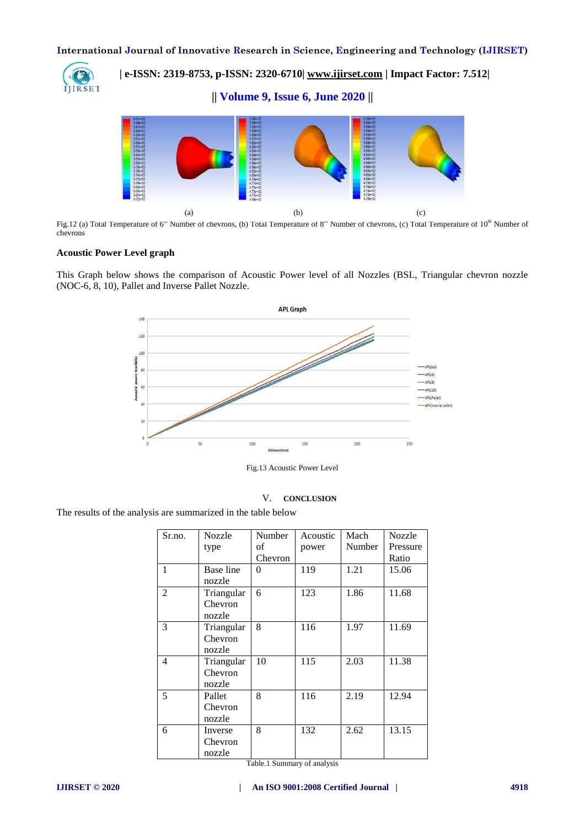IJIRSET

 **| e-ISSN: 2319-8753, p-ISSN: 2320-6710| [www.ijirset.com](http://www.ijirset.com/) | Impact Factor: 7.512|**

**|| Volume 9, Issue 6, June 2020 ||** 



Fig.12 (a) Total Temperature of 6" Number of chevrons, (b) Total Temperature of 8" Number of chevrons, (c) Total Temperature of 10<sup>th</sup> Number of chevrons

## **Acoustic Power Level graph**

This Graph below shows the comparison of Acoustic Power level of all Nozzles (BSL, Triangular chevron nozzle (NOC-6, 8, 10), Pallet and Inverse Pallet Nozzle.



Fig.13 Acoustic Power Level

#### V. **CONCLUSION**

The results of the analysis are summarized in the table below

| Sr.no.       | <b>Nozzle</b><br>type           | Number<br>οf | Acoustic<br>power | Mach<br>Number | <b>Nozzle</b><br>Pressure |
|--------------|---------------------------------|--------------|-------------------|----------------|---------------------------|
|              |                                 | Chevron      |                   |                | Ratio                     |
| $\mathbf{1}$ | Base line<br>nozzle             | 0            | 119               | 1.21           | 15.06                     |
| 2            | Triangular<br>Chevron<br>nozzle | 6            | 123               | 1.86           | 11.68                     |
| 3            | Triangular<br>Chevron<br>nozzle | 8            | 116               | 1.97           | 11.69                     |
| 4            | Triangular<br>Chevron<br>nozzle | 10           | 115               | 2.03           | 11.38                     |
| 5            | Pallet<br>Chevron<br>nozzle     | 8            | 116               | 2.19           | 12.94                     |
| 6            | Inverse<br>Chevron<br>nozzle    | 8            | 132               | 2.62           | 13.15                     |

Table.1 Summary of analysis